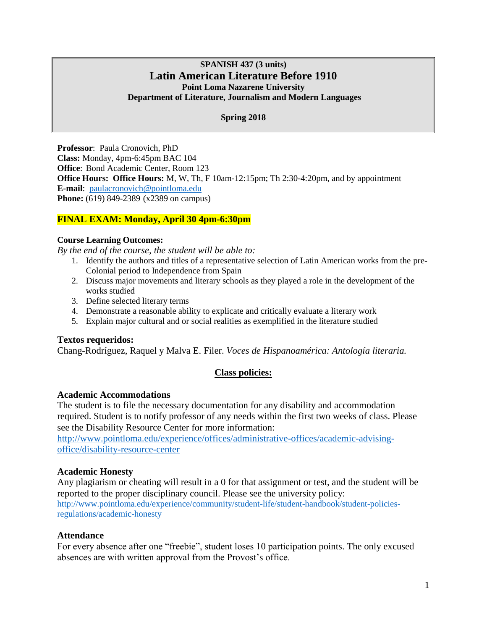# **SPANISH 437 (3 units) Latin American Literature Before 1910 Point Loma Nazarene University Department of Literature, Journalism and Modern Languages**

## **Spring 2018**

**Professor**: Paula Cronovich, PhD **Class:** Monday, 4pm-6:45pm BAC 104 **Office**: Bond Academic Center, Room 123 **Office Hours: Office Hours:** M, W, Th, F 10am-12:15pm; Th 2:30-4:20pm, and by appointment **E-mail**: [paulacronovich@pointloma.edu](mailto:paulacronovich@pointloma.edu) **Phone:** (619) 849-2389 (x2389 on campus)

# **FINAL EXAM: Monday, April 30 4pm-6:30pm**

### **Course Learning Outcomes:**

*By the end of the course, the student will be able to:*

- 1. Identify the authors and titles of a representative selection of Latin American works from the pre-Colonial period to Independence from Spain
- 2. Discuss major movements and literary schools as they played a role in the development of the works studied
- 3. Define selected literary terms
- 4. Demonstrate a reasonable ability to explicate and critically evaluate a literary work
- 5. Explain major cultural and or social realities as exemplified in the literature studied

## **Textos requeridos:**

Chang-Rodríguez, Raquel y Malva E. Filer. *Voces de Hispanoamérica: Antología literaria.*

# **Class policies:**

### **Academic Accommodations**

The student is to file the necessary documentation for any disability and accommodation required. Student is to notify professor of any needs within the first two weeks of class. Please see the Disability Resource Center for more information:

[http://www.pointloma.edu/experience/offices/administrative-offices/academic-advising](http://www.pointloma.edu/experience/offices/administrative-offices/academic-advising-office/disability-resource-center)[office/disability-resource-center](http://www.pointloma.edu/experience/offices/administrative-offices/academic-advising-office/disability-resource-center)

## **Academic Honesty**

Any plagiarism or cheating will result in a 0 for that assignment or test, and the student will be reported to the proper disciplinary council. Please see the university policy: [http://www.pointloma.edu/experience/community/student-life/student-handbook/student-policies](http://www.pointloma.edu/experience/community/student-life/student-handbook/student-policies-regulations/academic-honesty)[regulations/academic-honesty](http://www.pointloma.edu/experience/community/student-life/student-handbook/student-policies-regulations/academic-honesty)

## **Attendance**

For every absence after one "freebie", student loses 10 participation points. The only excused absences are with written approval from the Provost's office.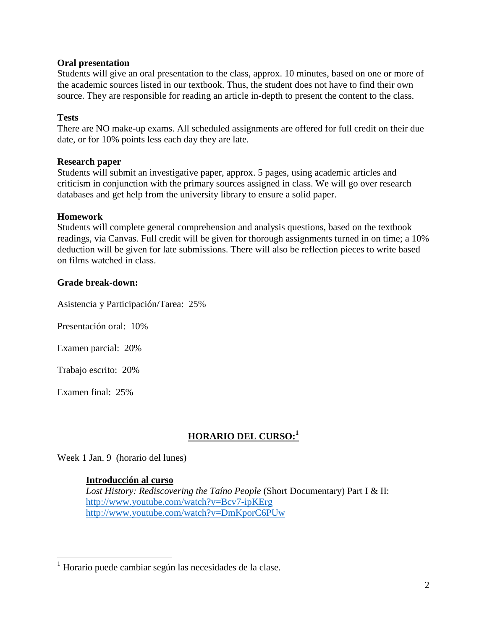# **Oral presentation**

Students will give an oral presentation to the class, approx. 10 minutes, based on one or more of the academic sources listed in our textbook. Thus, the student does not have to find their own source. They are responsible for reading an article in-depth to present the content to the class.

# **Tests**

There are NO make-up exams. All scheduled assignments are offered for full credit on their due date, or for 10% points less each day they are late.

## **Research paper**

Students will submit an investigative paper, approx. 5 pages, using academic articles and criticism in conjunction with the primary sources assigned in class. We will go over research databases and get help from the university library to ensure a solid paper.

# **Homework**

Students will complete general comprehension and analysis questions, based on the textbook readings, via Canvas. Full credit will be given for thorough assignments turned in on time; a 10% deduction will be given for late submissions. There will also be reflection pieces to write based on films watched in class.

# **Grade break-down:**

Asistencia y Participación/Tarea: 25%

Presentación oral: 10%

Examen parcial: 20%

Trabajo escrito: 20%

Examen final: 25%

 $\overline{a}$ 

# **HORARIO DEL CURSO: 1**

Week 1 Jan. 9 (horario del lunes)

## **Introducción al curso**

*Lost History: Rediscovering the Taíno People* (Short Documentary) Part I & II: <http://www.youtube.com/watch?v=Bcv7-ipKErg> <http://www.youtube.com/watch?v=DmKporC6PUw>

 $1$  Horario puede cambiar según las necesidades de la clase.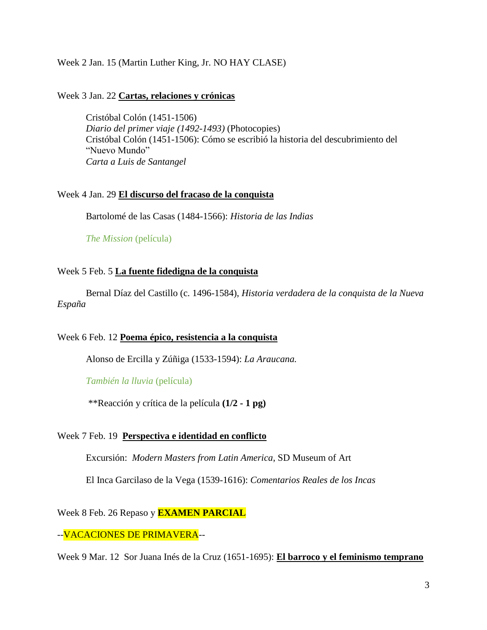# Week 2 Jan. 15 (Martin Luther King, Jr. NO HAY CLASE)

### Week 3 Jan. 22 **Cartas, relaciones y crónicas**

Cristóbal Colón (1451-1506) *Diario del primer viaje (1492-1493)* (Photocopies) Cristóbal Colón (1451-1506): Cómo se escribió la historia del descubrimiento del "Nuevo Mundo" *Carta a Luis de Santangel*

### Week 4 Jan. 29 **El discurso del fracaso de la conquista**

Bartolomé de las Casas (1484-1566): *Historia de las Indias*

*The Mission* (película)

### Week 5 Feb. 5 **La fuente fidedigna de la conquista**

Bernal Díaz del Castillo (c. 1496-1584), *Historia verdadera de la conquista de la Nueva España*

### Week 6 Feb. 12 **Poema épico, resistencia a la conquista**

Alonso de Ercilla y Zúñiga (1533-1594): *La Araucana.*

*También la lluvia* (película)

\*\*Reacción y crítica de la película **(1/2 - 1 pg)**

### Week 7 Feb. 19 **Perspectiva e identidad en conflicto**

Excursión: *Modern Masters from Latin America*, SD Museum of Art

El Inca Garcilaso de la Vega (1539-1616): *Comentarios Reales de los Incas*

### Week 8 Feb. 26 Repaso y **EXAMEN PARCIAL**

## --VACACIONES DE PRIMAVERA--

Week 9 Mar. 12 Sor Juana Inés de la Cruz (1651-1695): **El barroco y el feminismo temprano**